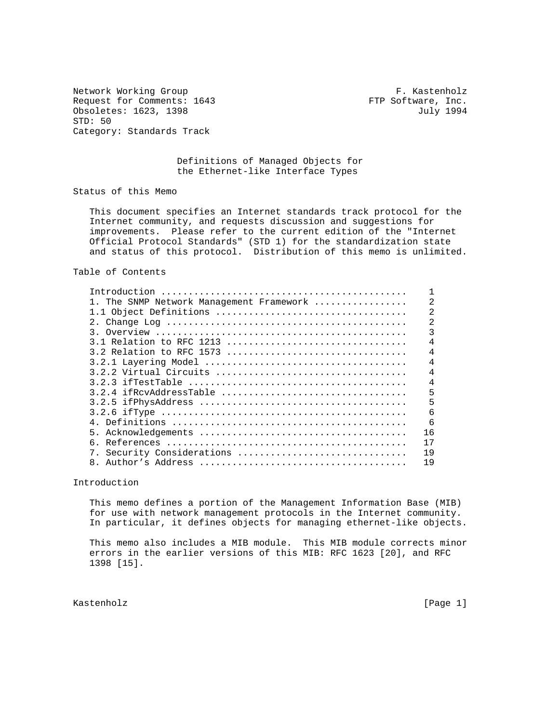Network Working Group **F. Kastenholz** Request for Comments: 1643 FTP Software, Inc. Obsoletes: 1623, 1398 July 1994 STD: 50 Category: Standards Track

# Definitions of Managed Objects for the Ethernet-like Interface Types

Status of this Memo

 This document specifies an Internet standards track protocol for the Internet community, and requests discussion and suggestions for improvements. Please refer to the current edition of the "Internet Official Protocol Standards" (STD 1) for the standardization state and status of this protocol. Distribution of this memo is unlimited.

#### Table of Contents

| 1. The SNMP Network Management Framework |                |
|------------------------------------------|----------------|
| 1.1 Object Definitions                   | 2              |
|                                          | $\overline{2}$ |
|                                          | 3              |
|                                          | 4              |
|                                          | 4              |
|                                          | $\overline{4}$ |
|                                          | 4              |
|                                          | 4              |
| 3.2.4 ifRcvAddressTable                  | 5              |
|                                          | 5              |
|                                          | 6              |
|                                          | 6              |
| 5.                                       | 16             |
| რ.                                       | 17             |
| 7. Security Considerations               | 19             |
|                                          | 19             |
|                                          |                |

Introduction

 This memo defines a portion of the Management Information Base (MIB) for use with network management protocols in the Internet community. In particular, it defines objects for managing ethernet-like objects.

 This memo also includes a MIB module. This MIB module corrects minor errors in the earlier versions of this MIB: RFC 1623 [20], and RFC 1398 [15].

Kastenholz [Page 1]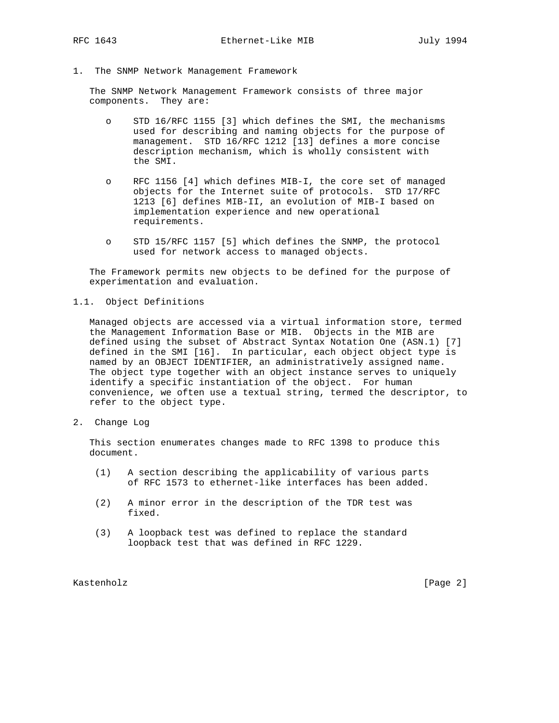1. The SNMP Network Management Framework

 The SNMP Network Management Framework consists of three major components. They are:

- o STD 16/RFC 1155 [3] which defines the SMI, the mechanisms used for describing and naming objects for the purpose of management. STD 16/RFC 1212 [13] defines a more concise description mechanism, which is wholly consistent with the SMI.
- o RFC 1156 [4] which defines MIB-I, the core set of managed objects for the Internet suite of protocols. STD 17/RFC 1213 [6] defines MIB-II, an evolution of MIB-I based on implementation experience and new operational requirements.
- o STD 15/RFC 1157 [5] which defines the SNMP, the protocol used for network access to managed objects.

 The Framework permits new objects to be defined for the purpose of experimentation and evaluation.

### 1.1. Object Definitions

 Managed objects are accessed via a virtual information store, termed the Management Information Base or MIB. Objects in the MIB are defined using the subset of Abstract Syntax Notation One (ASN.1) [7] defined in the SMI [16]. In particular, each object object type is named by an OBJECT IDENTIFIER, an administratively assigned name. The object type together with an object instance serves to uniquely identify a specific instantiation of the object. For human convenience, we often use a textual string, termed the descriptor, to refer to the object type.

2. Change Log

 This section enumerates changes made to RFC 1398 to produce this document.

- (1) A section describing the applicability of various parts of RFC 1573 to ethernet-like interfaces has been added.
- (2) A minor error in the description of the TDR test was fixed.
- (3) A loopback test was defined to replace the standard loopback test that was defined in RFC 1229.

Kastenholz [Page 2]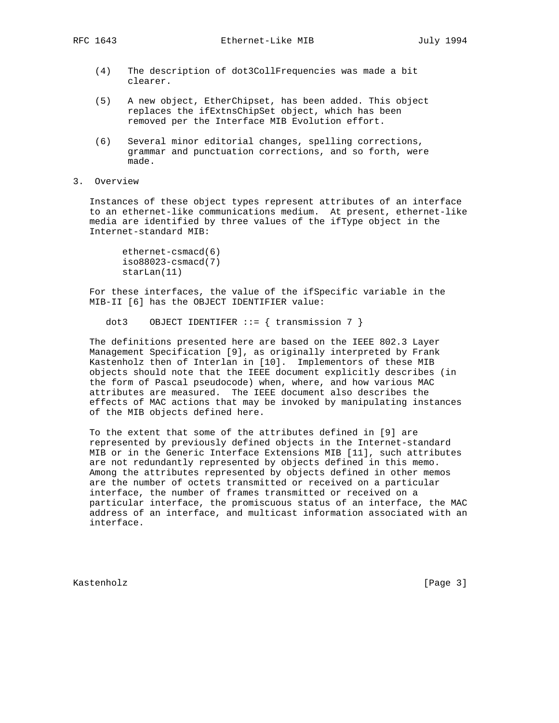- (4) The description of dot3CollFrequencies was made a bit clearer.
- (5) A new object, EtherChipset, has been added. This object replaces the ifExtnsChipSet object, which has been removed per the Interface MIB Evolution effort.
- (6) Several minor editorial changes, spelling corrections, grammar and punctuation corrections, and so forth, were made.
- 3. Overview

 Instances of these object types represent attributes of an interface to an ethernet-like communications medium. At present, ethernet-like media are identified by three values of the ifType object in the Internet-standard MIB:

```
 ethernet-csmacd(6)
iso88023-csmacd(7)
starLan(11)
```
 For these interfaces, the value of the ifSpecific variable in the MIB-II [6] has the OBJECT IDENTIFIER value:

dot3 OBJECT IDENTIFER  $::=$  { transmission 7 }

 The definitions presented here are based on the IEEE 802.3 Layer Management Specification [9], as originally interpreted by Frank Kastenholz then of Interlan in [10]. Implementors of these MIB objects should note that the IEEE document explicitly describes (in the form of Pascal pseudocode) when, where, and how various MAC attributes are measured. The IEEE document also describes the effects of MAC actions that may be invoked by manipulating instances of the MIB objects defined here.

 To the extent that some of the attributes defined in [9] are represented by previously defined objects in the Internet-standard MIB or in the Generic Interface Extensions MIB [11], such attributes are not redundantly represented by objects defined in this memo. Among the attributes represented by objects defined in other memos are the number of octets transmitted or received on a particular interface, the number of frames transmitted or received on a particular interface, the promiscuous status of an interface, the MAC address of an interface, and multicast information associated with an interface.

Kastenholz [Page 3]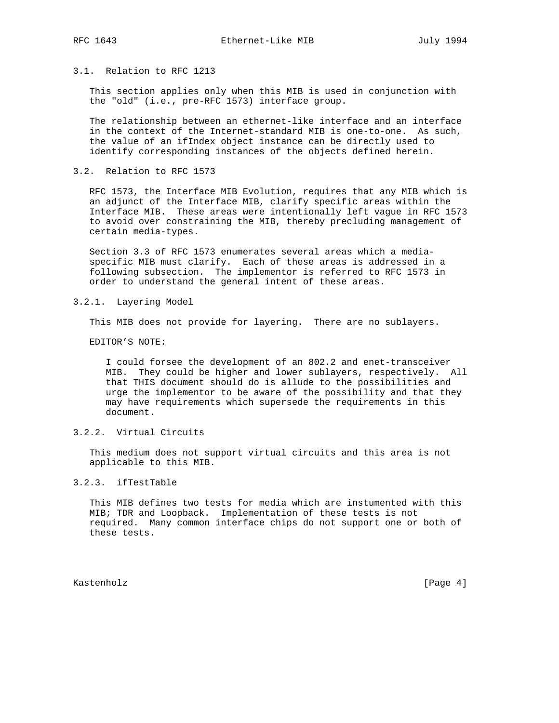# 3.1. Relation to RFC 1213

 This section applies only when this MIB is used in conjunction with the "old" (i.e., pre-RFC 1573) interface group.

 The relationship between an ethernet-like interface and an interface in the context of the Internet-standard MIB is one-to-one. As such, the value of an ifIndex object instance can be directly used to identify corresponding instances of the objects defined herein.

3.2. Relation to RFC 1573

 RFC 1573, the Interface MIB Evolution, requires that any MIB which is an adjunct of the Interface MIB, clarify specific areas within the Interface MIB. These areas were intentionally left vague in RFC 1573 to avoid over constraining the MIB, thereby precluding management of certain media-types.

 Section 3.3 of RFC 1573 enumerates several areas which a media specific MIB must clarify. Each of these areas is addressed in a following subsection. The implementor is referred to RFC 1573 in order to understand the general intent of these areas.

### 3.2.1. Layering Model

This MIB does not provide for layering. There are no sublayers.

EDITOR'S NOTE:

 I could forsee the development of an 802.2 and enet-transceiver MIB. They could be higher and lower sublayers, respectively. All that THIS document should do is allude to the possibilities and urge the implementor to be aware of the possibility and that they may have requirements which supersede the requirements in this document.

# 3.2.2. Virtual Circuits

 This medium does not support virtual circuits and this area is not applicable to this MIB.

### 3.2.3. ifTestTable

 This MIB defines two tests for media which are instumented with this MIB; TDR and Loopback. Implementation of these tests is not required. Many common interface chips do not support one or both of these tests.

Kastenholz [Page 4]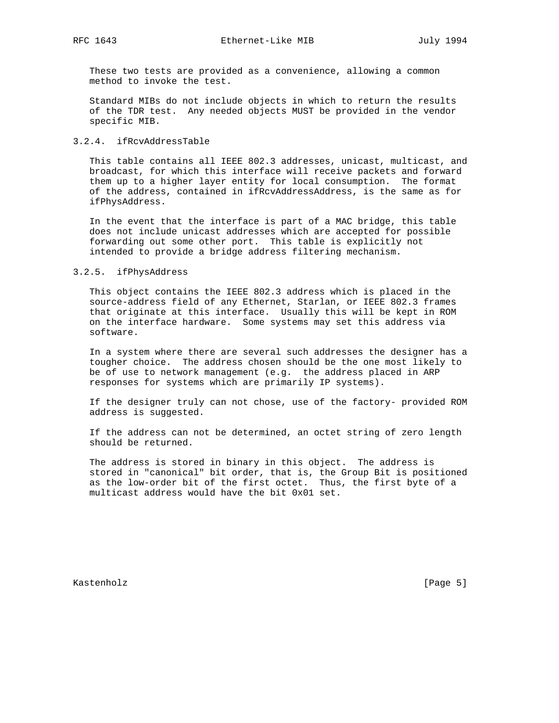These two tests are provided as a convenience, allowing a common method to invoke the test.

 Standard MIBs do not include objects in which to return the results of the TDR test. Any needed objects MUST be provided in the vendor specific MIB.

### 3.2.4. ifRcvAddressTable

 This table contains all IEEE 802.3 addresses, unicast, multicast, and broadcast, for which this interface will receive packets and forward them up to a higher layer entity for local consumption. The format of the address, contained in ifRcvAddressAddress, is the same as for ifPhysAddress.

 In the event that the interface is part of a MAC bridge, this table does not include unicast addresses which are accepted for possible forwarding out some other port. This table is explicitly not intended to provide a bridge address filtering mechanism.

# 3.2.5. ifPhysAddress

 This object contains the IEEE 802.3 address which is placed in the source-address field of any Ethernet, Starlan, or IEEE 802.3 frames that originate at this interface. Usually this will be kept in ROM on the interface hardware. Some systems may set this address via software.

 In a system where there are several such addresses the designer has a tougher choice. The address chosen should be the one most likely to be of use to network management (e.g. the address placed in ARP responses for systems which are primarily IP systems).

 If the designer truly can not chose, use of the factory- provided ROM address is suggested.

 If the address can not be determined, an octet string of zero length should be returned.

 The address is stored in binary in this object. The address is stored in "canonical" bit order, that is, the Group Bit is positioned as the low-order bit of the first octet. Thus, the first byte of a multicast address would have the bit 0x01 set.

Kastenholz [Page 5]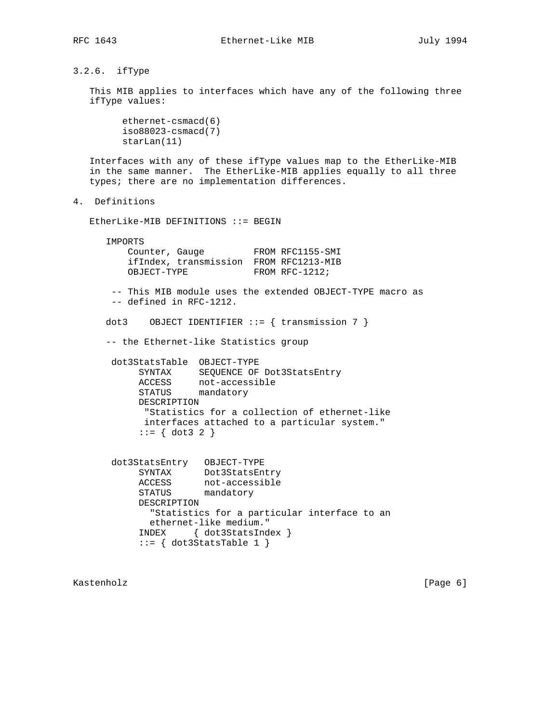3.2.6. ifType

 This MIB applies to interfaces which have any of the following three ifType values:

 ethernet-csmacd(6) iso88023-csmacd(7) starLan(11)

 Interfaces with any of these ifType values map to the EtherLike-MIB in the same manner. The EtherLike-MIB applies equally to all three types; there are no implementation differences.

4. Definitions

EtherLike-MIB DEFINITIONS ::= BEGIN

 IMPORTS Counter, Gauge FROM RFC1155-SMI ifIndex, transmission FROM RFC1213-MIB OBJECT-TYPE FROM RFC-1212; -- This MIB module uses the extended OBJECT-TYPE macro as -- defined in RFC-1212. dot3 OBJECT IDENTIFIER  $::=$  { transmission 7 } -- the Ethernet-like Statistics group dot3StatsTable OBJECT-TYPE SYNTAX SEQUENCE OF Dot3StatsEntry ACCESS not-accessible STATUS mandatory DESCRIPTION "Statistics for a collection of ethernet-like interfaces attached to a particular system." ::= { dot3 2 } dot3StatsEntry OBJECT-TYPE SYNTAX Dot3StatsEntry ACCESS not-accessible STATUS mandatory DESCRIPTION "Statistics for a particular interface to an

 ethernet-like medium." INDEX { dot3StatsIndex }  $::=$  { dot3StatsTable 1 }

Kastenholz [Page 6]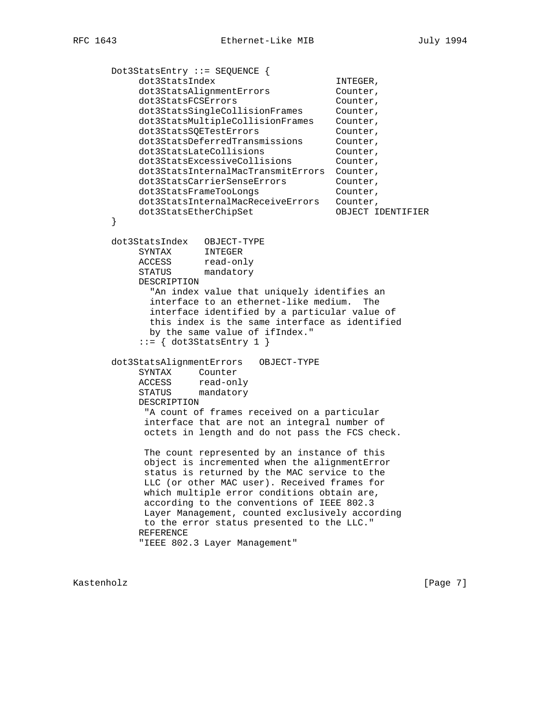Dot3StatsEntry ::= SEQUENCE { dot3StatsIndex INTEGER, dot3StatsAlignmentErrors Counter,<br>dot3StatsFCSErrors Counter, dot3StatsFCSErrors dot3StatsSingleCollisionFrames Counter, dot3StatsMultipleCollisionFrames Counter, dot3StatsSQETestErrors counter, dot3StatsDeferredTransmissions Counter, dot3StatsLateCollisions Counter, dot3StatsExcessiveCollisions Counter, dot3StatsInternalMacTransmitErrors Counter, dot3StatsCarrierSenseErrors Counter, dot3StatsFrameTooLongs counter, dot3StatsInternalMacReceiveErrors Counter, dot3StatsEtherChipSet OBJECT IDENTIFIER } dot3StatsIndex OBJECT-TYPE SYNTAX INTEGER ACCESS read-only STATUS mandatory DESCRIPTION "An index value that uniquely identifies an interface to an ethernet-like medium. The interface identified by a particular value of this index is the same interface as identified by the same value of ifIndex."  $::=$  { dot3StatsEntry 1 } dot3StatsAlignmentErrors OBJECT-TYPE SYNTAX Counter ACCESS read-only STATUS mandatory DESCRIPTION "A count of frames received on a particular interface that are not an integral number of octets in length and do not pass the FCS check. The count represented by an instance of this object is incremented when the alignmentError status is returned by the MAC service to the LLC (or other MAC user). Received frames for which multiple error conditions obtain are, according to the conventions of IEEE 802.3 Layer Management, counted exclusively according to the error status presented to the LLC." REFERENCE "IEEE 802.3 Layer Management"

Kastenholz [Page 7]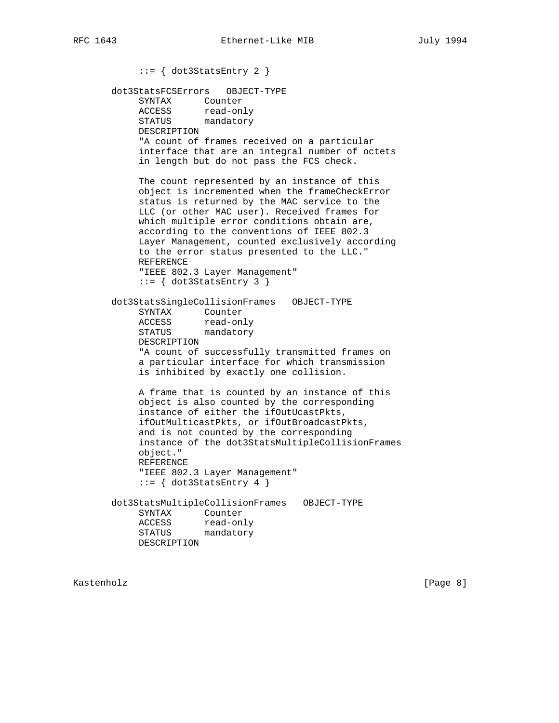::= { dot3StatsEntry 2 } dot3StatsFCSErrors OBJECT-TYPE SYNTAX Counter ACCESS read-only STATUS mandatory DESCRIPTION "A count of frames received on a particular interface that are an integral number of octets in length but do not pass the FCS check. The count represented by an instance of this object is incremented when the frameCheckError status is returned by the MAC service to the LLC (or other MAC user). Received frames for which multiple error conditions obtain are, according to the conventions of IEEE 802.3 Layer Management, counted exclusively according to the error status presented to the LLC." REFERENCE "IEEE 802.3 Layer Management"  $::=$  { dot3StatsEntry 3 } dot3StatsSingleCollisionFrames OBJECT-TYPE SYNTAX Counter ACCESS read-only STATUS mandatory DESCRIPTION "A count of successfully transmitted frames on a particular interface for which transmission is inhibited by exactly one collision. A frame that is counted by an instance of this object is also counted by the corresponding instance of either the ifOutUcastPkts, ifOutMulticastPkts, or ifOutBroadcastPkts, and is not counted by the corresponding instance of the dot3StatsMultipleCollisionFrames object." REFERENCE "IEEE 802.3 Layer Management"  $::=$  { dot3StatsEntry 4 } dot3StatsMultipleCollisionFrames OBJECT-TYPE SYNTAX Counter ACCESS read-only STATUS mandatory DESCRIPTION

Kastenholz [Page 8]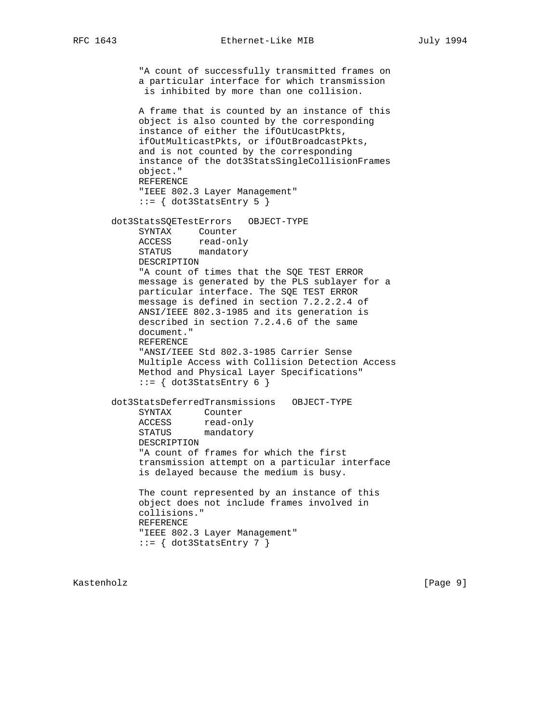"A count of successfully transmitted frames on a particular interface for which transmission is inhibited by more than one collision. A frame that is counted by an instance of this object is also counted by the corresponding instance of either the ifOutUcastPkts, ifOutMulticastPkts, or ifOutBroadcastPkts, and is not counted by the corresponding instance of the dot3StatsSingleCollisionFrames object." REFERENCE "IEEE 802.3 Layer Management"  $::=$   $\{ dot3StatsEntry 5 \}$  dot3StatsSQETestErrors OBJECT-TYPE SYNTAX Counter ACCESS read-only STATUS mandatory DESCRIPTION "A count of times that the SQE TEST ERROR message is generated by the PLS sublayer for a particular interface. The SQE TEST ERROR message is defined in section 7.2.2.2.4 of ANSI/IEEE 802.3-1985 and its generation is described in section 7.2.4.6 of the same document." REFERENCE "ANSI/IEEE Std 802.3-1985 Carrier Sense Multiple Access with Collision Detection Access Method and Physical Layer Specifications"  $::=$   $\{ dot3StatsEntry 6 \}$  dot3StatsDeferredTransmissions OBJECT-TYPE SYNTAX Counter ACCESS read-only STATUS mandatory DESCRIPTION "A count of frames for which the first transmission attempt on a particular interface is delayed because the medium is busy. The count represented by an instance of this object does not include frames involved in collisions." REFERENCE "IEEE 802.3 Layer Management"  $::=$  { dot3StatsEntry 7 }

Kastenholz [Page 9]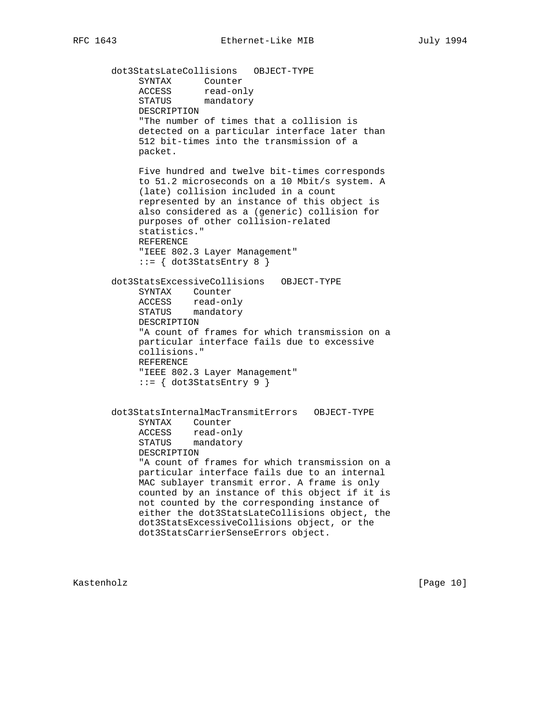dot3StatsLateCollisions OBJECT-TYPE SYNTAX Counter ACCESS read-only STATUS mandatory DESCRIPTION "The number of times that a collision is detected on a particular interface later than 512 bit-times into the transmission of a packet. Five hundred and twelve bit-times corresponds to 51.2 microseconds on a 10 Mbit/s system. A (late) collision included in a count represented by an instance of this object is also considered as a (generic) collision for purposes of other collision-related statistics." REFERENCE "IEEE 802.3 Layer Management"  $::=$   $\{ dot3StatsEntry 8 \}$  dot3StatsExcessiveCollisions OBJECT-TYPE SYNTAX Counter ACCESS read-only STATUS mandatory DESCRIPTION "A count of frames for which transmission on a particular interface fails due to excessive collisions." REFERENCE "IEEE 802.3 Layer Management"  $::=$   $\{ dot3StatsEntry 9 \}$  dot3StatsInternalMacTransmitErrors OBJECT-TYPE SYNTAX Counter ACCESS read-only STATUS mandatory DESCRIPTION "A count of frames for which transmission on a particular interface fails due to an internal MAC sublayer transmit error. A frame is only counted by an instance of this object if it is not counted by the corresponding instance of either the dot3StatsLateCollisions object, the dot3StatsExcessiveCollisions object, or the dot3StatsCarrierSenseErrors object.

Kastenholz [Page 10]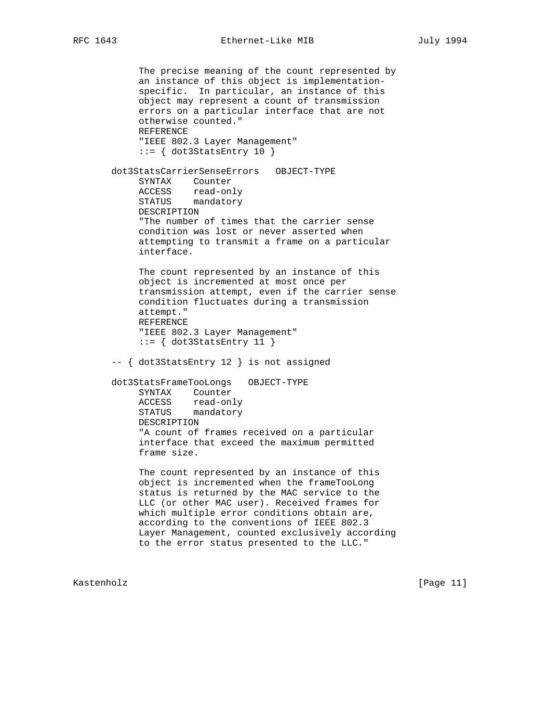The precise meaning of the count represented by an instance of this object is implementation specific. In particular, an instance of this object may represent a count of transmission errors on a particular interface that are not otherwise counted." REFERENCE "IEEE 802.3 Layer Management"  $::=$  { dot3StatsEntry 10 } dot3StatsCarrierSenseErrors OBJECT-TYPE SYNTAX Counter ACCESS read-only STATUS mandatory DESCRIPTION "The number of times that the carrier sense condition was lost or never asserted when attempting to transmit a frame on a particular interface. The count represented by an instance of this object is incremented at most once per transmission attempt, even if the carrier sense condition fluctuates during a transmission attempt." REFERENCE "IEEE 802.3 Layer Management"  $::= \{ dot3StatsEntry 11 \}$  -- { dot3StatsEntry 12 } is not assigned dot3StatsFrameTooLongs OBJECT-TYPE SYNTAX Counter ACCESS read-only STATUS mandatory DESCRIPTION "A count of frames received on a particular interface that exceed the maximum permitted frame size. The count represented by an instance of this object is incremented when the frameTooLong status is returned by the MAC service to the LLC (or other MAC user). Received frames for which multiple error conditions obtain are, according to the conventions of IEEE 802.3 Layer Management, counted exclusively according to the error status presented to the LLC."

Kastenholz [Page 11]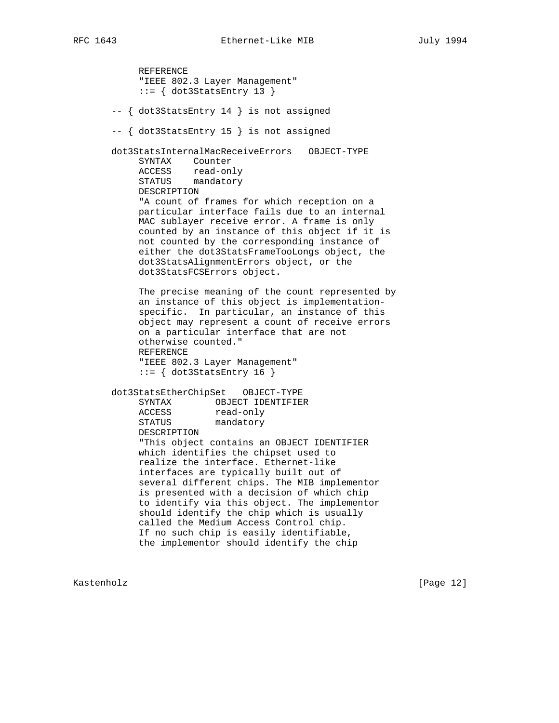REFERENCE "IEEE 802.3 Layer Management"  $::=$  { dot3StatsEntry 13 } -- { dot3StatsEntry 14 } is not assigned -- { dot3StatsEntry 15 } is not assigned dot3StatsInternalMacReceiveErrors OBJECT-TYPE SYNTAX Counter ACCESS read-only STATUS mandatory DESCRIPTION "A count of frames for which reception on a particular interface fails due to an internal MAC sublayer receive error. A frame is only counted by an instance of this object if it is not counted by the corresponding instance of either the dot3StatsFrameTooLongs object, the dot3StatsAlignmentErrors object, or the dot3StatsFCSErrors object. The precise meaning of the count represented by an instance of this object is implementation specific. In particular, an instance of this object may represent a count of receive errors on a particular interface that are not otherwise counted." REFERENCE "IEEE 802.3 Layer Management"  $::=$  { dot3StatsEntry 16 } dot3StatsEtherChipSet OBJECT-TYPE SYNTAX OBJECT IDENTIFIER ACCESS read-only STATUS mandatory DESCRIPTION "This object contains an OBJECT IDENTIFIER which identifies the chipset used to realize the interface. Ethernet-like interfaces are typically built out of several different chips. The MIB implementor is presented with a decision of which chip to identify via this object. The implementor should identify the chip which is usually called the Medium Access Control chip. If no such chip is easily identifiable, the implementor should identify the chip

Kastenholz [Page 12]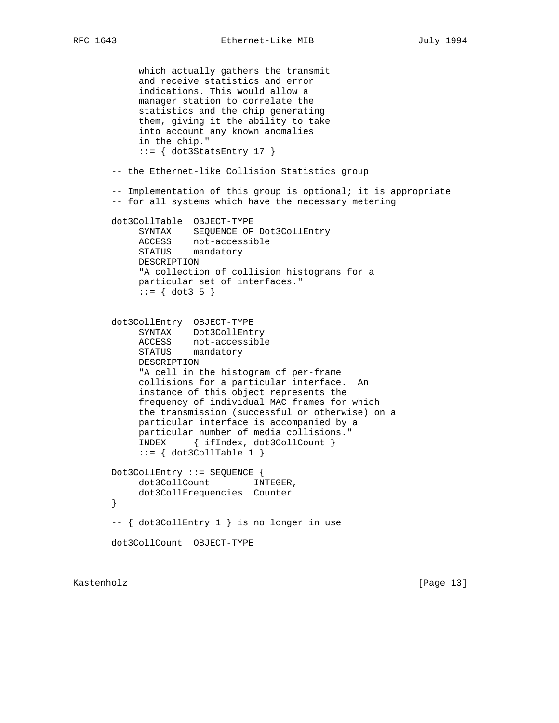which actually gathers the transmit and receive statistics and error indications. This would allow a manager station to correlate the statistics and the chip generating them, giving it the ability to take into account any known anomalies in the chip."  $::=$  { dot3StatsEntry 17 } -- the Ethernet-like Collision Statistics group -- Implementation of this group is optional; it is appropriate -- for all systems which have the necessary metering dot3CollTable OBJECT-TYPE SYNTAX SEQUENCE OF Dot3CollEntry ACCESS not-accessible STATUS mandatory DESCRIPTION "A collection of collision histograms for a particular set of interfaces."  $::= \{ dot3 5 \}$  dot3CollEntry OBJECT-TYPE SYNTAX Dot3CollEntry ACCESS not-accessible STATUS mandatory DESCRIPTION "A cell in the histogram of per-frame collisions for a particular interface. An instance of this object represents the frequency of individual MAC frames for which the transmission (successful or otherwise) on a particular interface is accompanied by a particular number of media collisions." INDEX { ifIndex, dot3CollCount }  $::=$  { dot3CollTable 1 } Dot3CollEntry ::= SEQUENCE { dot3CollCount INTEGER, dot3CollFrequencies Counter } -- { dot3CollEntry 1 } is no longer in use dot3CollCount OBJECT-TYPE

Kastenholz [Page 13]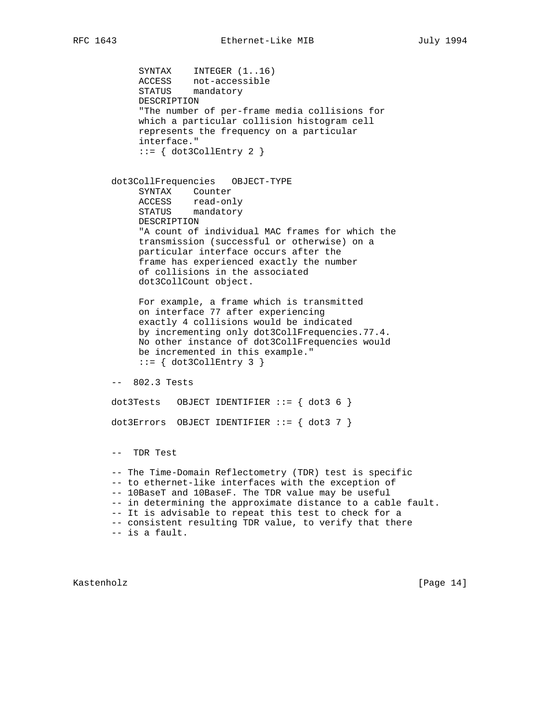SYNTAX INTEGER (1..16) ACCESS not-accessible STATUS mandatory DESCRIPTION "The number of per-frame media collisions for which a particular collision histogram cell represents the frequency on a particular interface."  $::=$  { dot3CollEntry 2 } dot3CollFrequencies OBJECT-TYPE SYNTAX Counter ACCESS read-only STATUS mandatory DESCRIPTION "A count of individual MAC frames for which the transmission (successful or otherwise) on a particular interface occurs after the frame has experienced exactly the number of collisions in the associated dot3CollCount object. For example, a frame which is transmitted on interface 77 after experiencing exactly 4 collisions would be indicated by incrementing only dot3CollFrequencies.77.4. No other instance of dot3CollFrequencies would be incremented in this example."  $::=$  { dot3CollEntry 3 } -- 802.3 Tests dot3Tests OBJECT IDENTIFIER  $::=$  { dot3 6 } dot3Errors OBJECT IDENTIFIER  $::=$  { dot3 7 } -- TDR Test -- The Time-Domain Reflectometry (TDR) test is specific -- to ethernet-like interfaces with the exception of -- 10BaseT and 10BaseF. The TDR value may be useful -- in determining the approximate distance to a cable fault. -- It is advisable to repeat this test to check for a -- consistent resulting TDR value, to verify that there -- is a fault.

Kastenholz [Page 14]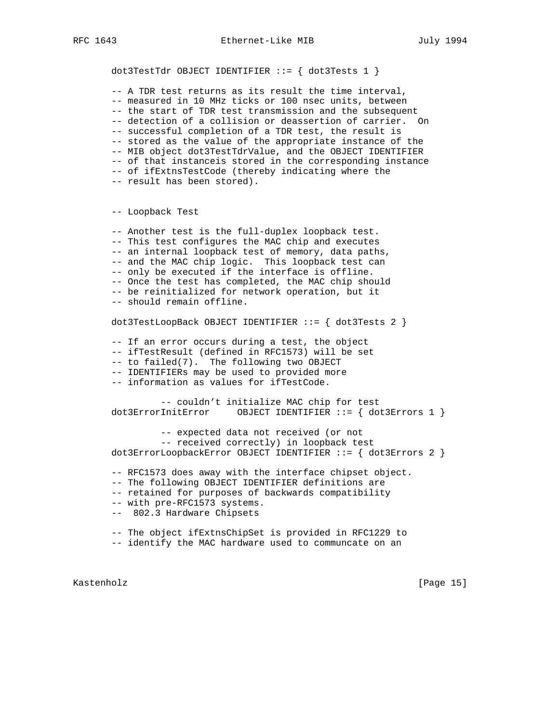-- A TDR test returns as its result the time interval, -- measured in 10 MHz ticks or 100 nsec units, between -- the start of TDR test transmission and the subsequent -- detection of a collision or deassertion of carrier. On -- successful completion of a TDR test, the result is -- stored as the value of the appropriate instance of the -- MIB object dot3TestTdrValue, and the OBJECT IDENTIFIER -- of that instanceis stored in the corresponding instance -- of ifExtnsTestCode (thereby indicating where the -- result has been stored). -- Loopback Test -- Another test is the full-duplex loopback test. -- This test configures the MAC chip and executes -- an internal loopback test of memory, data paths, -- and the MAC chip logic. This loopback test can -- only be executed if the interface is offline. -- Once the test has completed, the MAC chip should -- be reinitialized for network operation, but it -- should remain offline. dot3TestLoopBack OBJECT IDENTIFIER ::= { dot3Tests 2 } -- If an error occurs during a test, the object -- ifTestResult (defined in RFC1573) will be set -- to failed(7). The following two OBJECT -- IDENTIFIERs may be used to provided more -- information as values for ifTestCode. -- couldn't initialize MAC chip for test dot3ErrorInitError OBJECT IDENTIFIER ::= { dot3Errors 1 } -- expected data not received (or not -- received correctly) in loopback test dot3ErrorLoopbackError OBJECT IDENTIFIER ::= { dot3Errors 2 } -- RFC1573 does away with the interface chipset object. -- The following OBJECT IDENTIFIER definitions are -- retained for purposes of backwards compatibility -- with pre-RFC1573 systems. -- 802.3 Hardware Chipsets -- The object ifExtnsChipSet is provided in RFC1229 to -- identify the MAC hardware used to communcate on an

Kastenholz [Page 15]

dot3TestTdr OBJECT IDENTIFIER  $::=$  { dot3Tests 1 }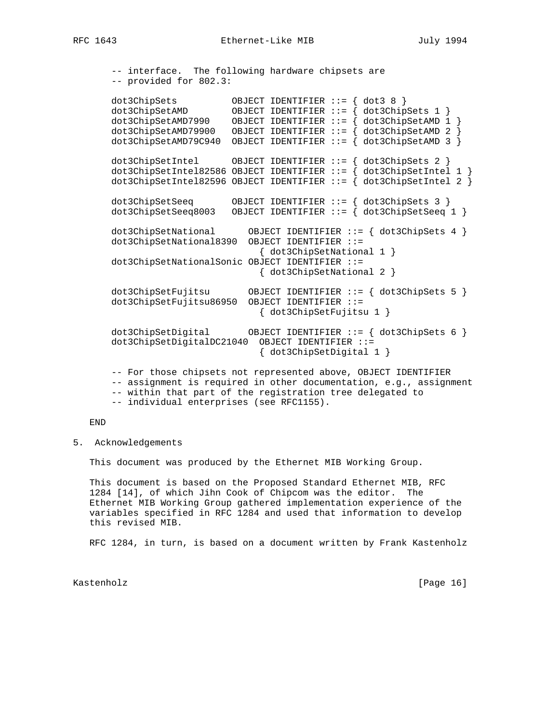-- interface. The following hardware chipsets are -- provided for 802.3:

 dot3ChipSets OBJECT IDENTIFIER ::= { dot3 8 } dot3ChipSetAMD OBJECT IDENTIFIER ::= { dot3ChipSets 1 } dot3ChipSetAMD7990 OBJECT IDENTIFIER ::= { dot3ChipSetAMD 1 } dot3ChipSetAMD79900 OBJECT IDENTIFIER ::= { dot3ChipSetAMD 2 } dot3ChipSetAMD79C940 OBJECT IDENTIFIER ::= { dot3ChipSetAMD 3 } dot3ChipSetIntel OBJECT IDENTIFIER ::= { dot3ChipSets 2 } dot3ChipSetIntel82586 OBJECT IDENTIFIER ::= { dot3ChipSetIntel 1 } dot3ChipSetIntel82596 OBJECT IDENTIFIER  $::=$  { dot3ChipSetIntel 2 } dot3ChipSetSeeq OBJECT IDENTIFIER ::= { dot3ChipSets 3 } dot3ChipSetSeeq8003 OBJECT IDENTIFIER ::= { dot3ChipSetSeeq 1 } dot3ChipSetNational OBJECT IDENTIFIER ::= { dot3ChipSets 4 } dot3ChipSetNational8390 OBJECT IDENTIFIER ::= { dot3ChipSetNational 1 } dot3ChipSetNationalSonic OBJECT IDENTIFIER ::= { dot3ChipSetNational 2 } dot3ChipSetFujitsu OBJECT IDENTIFIER ::= { dot3ChipSets 5 } dot3ChipSetFujitsu86950 OBJECT IDENTIFIER ::= { dot3ChipSetFujitsu 1 } dot3ChipSetDigital OBJECT IDENTIFIER ::= { dot3ChipSets 6 } dot3ChipSetDigitalDC21040 OBJECT IDENTIFIER ::= { dot3ChipSetDigital 1 } -- For those chipsets not represented above, OBJECT IDENTIFIER -- assignment is required in other documentation, e.g., assignment -- within that part of the registration tree delegated to

-- individual enterprises (see RFC1155).

END

5. Acknowledgements

This document was produced by the Ethernet MIB Working Group.

 This document is based on the Proposed Standard Ethernet MIB, RFC 1284 [14], of which Jihn Cook of Chipcom was the editor. The Ethernet MIB Working Group gathered implementation experience of the variables specified in RFC 1284 and used that information to develop this revised MIB.

RFC 1284, in turn, is based on a document written by Frank Kastenholz

Kastenholz [Page 16]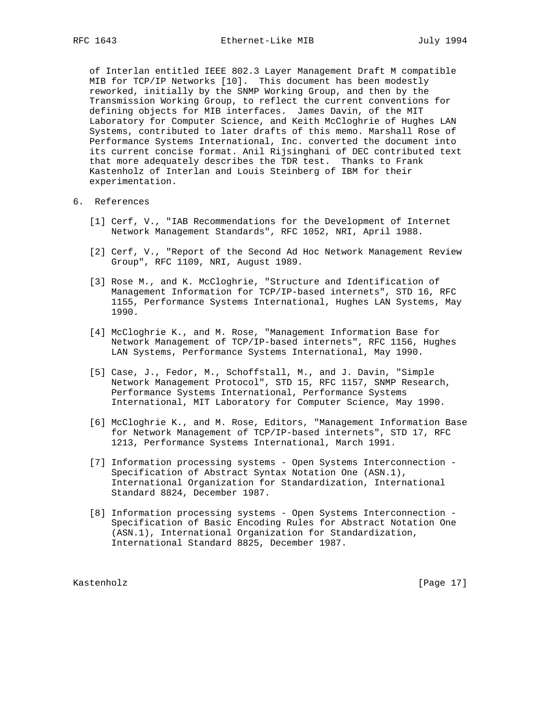of Interlan entitled IEEE 802.3 Layer Management Draft M compatible MIB for TCP/IP Networks [10]. This document has been modestly reworked, initially by the SNMP Working Group, and then by the Transmission Working Group, to reflect the current conventions for defining objects for MIB interfaces. James Davin, of the MIT Laboratory for Computer Science, and Keith McCloghrie of Hughes LAN Systems, contributed to later drafts of this memo. Marshall Rose of Performance Systems International, Inc. converted the document into its current concise format. Anil Rijsinghani of DEC contributed text that more adequately describes the TDR test. Thanks to Frank Kastenholz of Interlan and Louis Steinberg of IBM for their experimentation.

- 6. References
	- [1] Cerf, V., "IAB Recommendations for the Development of Internet Network Management Standards", RFC 1052, NRI, April 1988.
	- [2] Cerf, V., "Report of the Second Ad Hoc Network Management Review Group", RFC 1109, NRI, August 1989.
	- [3] Rose M., and K. McCloghrie, "Structure and Identification of Management Information for TCP/IP-based internets", STD 16, RFC 1155, Performance Systems International, Hughes LAN Systems, May 1990.
	- [4] McCloghrie K., and M. Rose, "Management Information Base for Network Management of TCP/IP-based internets", RFC 1156, Hughes LAN Systems, Performance Systems International, May 1990.
	- [5] Case, J., Fedor, M., Schoffstall, M., and J. Davin, "Simple Network Management Protocol", STD 15, RFC 1157, SNMP Research, Performance Systems International, Performance Systems International, MIT Laboratory for Computer Science, May 1990.
	- [6] McCloghrie K., and M. Rose, Editors, "Management Information Base for Network Management of TCP/IP-based internets", STD 17, RFC 1213, Performance Systems International, March 1991.
	- [7] Information processing systems Open Systems Interconnection Specification of Abstract Syntax Notation One (ASN.1), International Organization for Standardization, International Standard 8824, December 1987.
	- [8] Information processing systems Open Systems Interconnection Specification of Basic Encoding Rules for Abstract Notation One (ASN.1), International Organization for Standardization, International Standard 8825, December 1987.

Kastenholz [Page 17]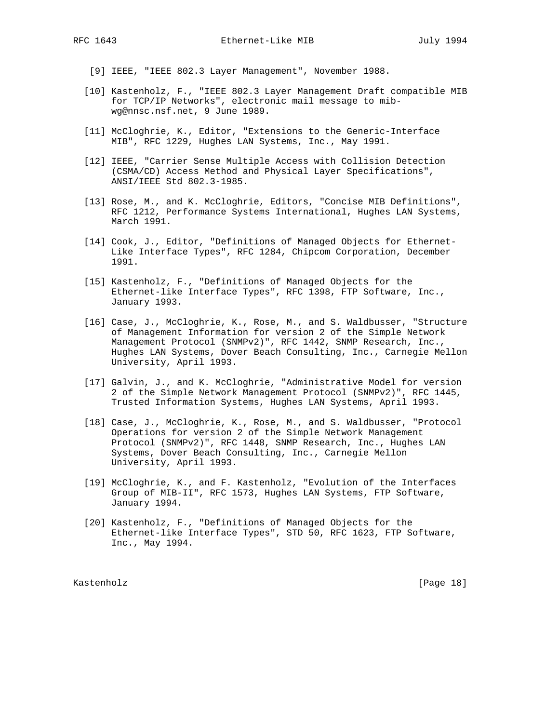- [9] IEEE, "IEEE 802.3 Layer Management", November 1988.
- [10] Kastenholz, F., "IEEE 802.3 Layer Management Draft compatible MIB for TCP/IP Networks", electronic mail message to mib wg@nnsc.nsf.net, 9 June 1989.
- [11] McCloghrie, K., Editor, "Extensions to the Generic-Interface MIB", RFC 1229, Hughes LAN Systems, Inc., May 1991.
- [12] IEEE, "Carrier Sense Multiple Access with Collision Detection (CSMA/CD) Access Method and Physical Layer Specifications", ANSI/IEEE Std 802.3-1985.
- [13] Rose, M., and K. McCloghrie, Editors, "Concise MIB Definitions", RFC 1212, Performance Systems International, Hughes LAN Systems, March 1991.
- [14] Cook, J., Editor, "Definitions of Managed Objects for Ethernet- Like Interface Types", RFC 1284, Chipcom Corporation, December 1991.
- [15] Kastenholz, F., "Definitions of Managed Objects for the Ethernet-like Interface Types", RFC 1398, FTP Software, Inc., January 1993.
- [16] Case, J., McCloghrie, K., Rose, M., and S. Waldbusser, "Structure of Management Information for version 2 of the Simple Network Management Protocol (SNMPv2)", RFC 1442, SNMP Research, Inc., Hughes LAN Systems, Dover Beach Consulting, Inc., Carnegie Mellon University, April 1993.
- [17] Galvin, J., and K. McCloghrie, "Administrative Model for version 2 of the Simple Network Management Protocol (SNMPv2)", RFC 1445, Trusted Information Systems, Hughes LAN Systems, April 1993.
- [18] Case, J., McCloghrie, K., Rose, M., and S. Waldbusser, "Protocol Operations for version 2 of the Simple Network Management Protocol (SNMPv2)", RFC 1448, SNMP Research, Inc., Hughes LAN Systems, Dover Beach Consulting, Inc., Carnegie Mellon University, April 1993.
- [19] McCloghrie, K., and F. Kastenholz, "Evolution of the Interfaces Group of MIB-II", RFC 1573, Hughes LAN Systems, FTP Software, January 1994.
- [20] Kastenholz, F., "Definitions of Managed Objects for the Ethernet-like Interface Types", STD 50, RFC 1623, FTP Software, Inc., May 1994.

Kastenholz [Page 18]